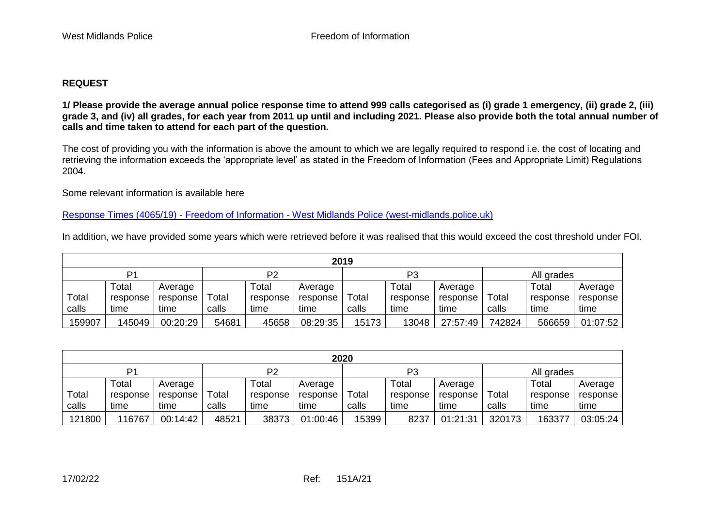## **REQUEST**

**1/ Please provide the average annual police response time to attend 999 calls categorised as (i) grade 1 emergency, (ii) grade 2, (iii) grade 3, and (iv) all grades, for each year from 2011 up until and including 2021. Please also provide both the total annual number of calls and time taken to attend for each part of the question.** 

The cost of providing you with the information is above the amount to which we are legally required to respond i.e. the cost of locating and retrieving the information exceeds the 'appropriate level' as stated in the Freedom of Information (Fees and Appropriate Limit) Regulations 2004.

Some relevant information is available here

Response Times (4065/19) - Freedom of Information - [West Midlands Police \(west-midlands.police.uk\)](https://foi.west-midlands.police.uk/response-times-4065-19-2/)

In addition, we have provided some years which were retrieved before it was realised that this would exceed the cost threshold under FOI.

| 2019           |          |          |       |                |          |       |                |          |        |            |          |  |
|----------------|----------|----------|-------|----------------|----------|-------|----------------|----------|--------|------------|----------|--|
| D <sub>1</sub> |          |          |       | P <sub>2</sub> |          |       | P <sub>3</sub> |          |        | All grades |          |  |
|                | Total    | Average  |       | Total          | Average  |       | Total          | Average  |        | Total      | Average  |  |
| Total          | response | response | Total | response       | response | Total | response       | response | Total  | response   | response |  |
| calls          | time     | time     | calls | time           | time     | calls | time           | time     | calls  | time       | time     |  |
| 159907         | 145049   | 00:20:29 | 54681 | 45658          | 08:29:35 | 15173 | 13048          | 27:57:49 | 742824 | 566659     | 01:07:52 |  |

| 2020           |          |          |       |          |          |                |          |          |            |          |          |
|----------------|----------|----------|-------|----------|----------|----------------|----------|----------|------------|----------|----------|
| P <sub>1</sub> |          |          | P2    |          |          | P <sub>3</sub> |          |          | All grades |          |          |
|                | Total    | Average  |       | Total    | Average  |                | Total    | Average  |            | Total    | Average  |
| Total          | response | response | Total | response | response | Total          | response | response | Total      | response | response |
| calls          | time     | time     | calls | time     | time     | calls          | time     | time     | calls      | time     | time     |
| 121800         | 116767   | 00:14:42 | 48521 | 38373    | 01:00:46 | 15399          | 8237     | 01:21:31 | 320173     | 163377   | 03:05:24 |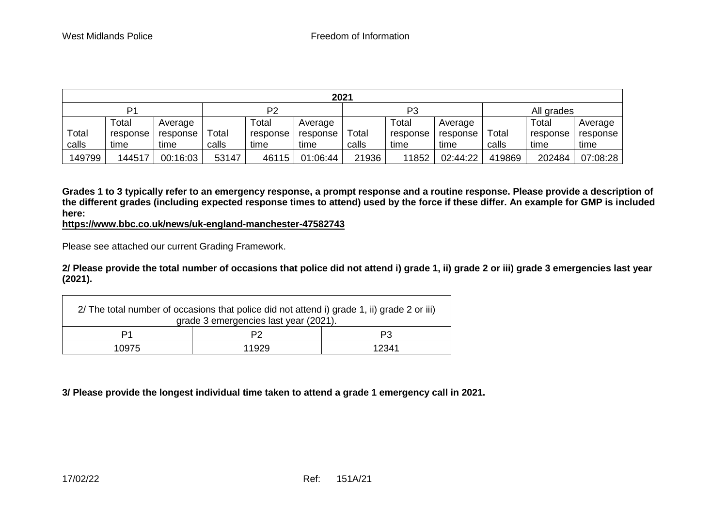| 2021           |          |          |                |          |          |       |          |          |            |          |          |
|----------------|----------|----------|----------------|----------|----------|-------|----------|----------|------------|----------|----------|
| D <sub>1</sub> |          |          | P <sub>2</sub> |          |          | P3    |          |          | All grades |          |          |
|                | Total    | Average  |                | Total    | Average  |       | Total    | Average  |            | Total    | Average  |
| Total          | response | response | Total          | response | response | Total | response | response | Total      | response | response |
| calls          | time     | time     | calls          | time     | time     | calls | time     | time     | calls      | time     | time     |
| 149799         | 144517   | 00:16:03 | 53147          | 46115    | 01:06:44 | 21936 | 11852    | 02:44:22 | 419869     | 202484   | 07:08:28 |

**Grades 1 to 3 typically refer to an emergency response, a prompt response and a routine response. Please provide a description of the different grades (including expected response times to attend) used by the force if these differ. An example for GMP is included here:**

**[https://www.bbc.co.uk/news/uk-england-manchester-47582743](https://gbr01.safelinks.protection.outlook.com/?url=https%3A%2F%2Fwww.bbc.co.uk%2Fnews%2Fuk-england-manchester-47582743&data=04%7C01%7Cfoi%40westmidlands.police.uk%7C4649ce0e5f514c63edb008d9e4dce654%7C2b0f1af29e024cfb982fc61fd716ee98%7C0%7C0%7C637792459925364410%7CUnknown%7CTWFpbGZsb3d8eyJWIjoiMC4wLjAwMDAiLCJQIjoiV2luMzIiLCJBTiI6Ik1haWwiLCJXVCI6Mn0%3D%7C3000&sdata=bdmv%2BShAlS5hfMcsPDIYpBE6CqROv3lq4p4pFE5ex5Y%3D&reserved=0)**

Please see attached our current Grading Framework.

**2/ Please provide the total number of occasions that police did not attend i) grade 1, ii) grade 2 or iii) grade 3 emergencies last year (2021).**

| 2/ The total number of occasions that police did not attend i) grade 1, ii) grade 2 or iii)<br>grade 3 emergencies last year (2021). |       |       |  |  |  |  |
|--------------------------------------------------------------------------------------------------------------------------------------|-------|-------|--|--|--|--|
| P1                                                                                                                                   |       | P3    |  |  |  |  |
| 10975                                                                                                                                | 11929 | 12341 |  |  |  |  |

**3/ Please provide the longest individual time taken to attend a grade 1 emergency call in 2021.**